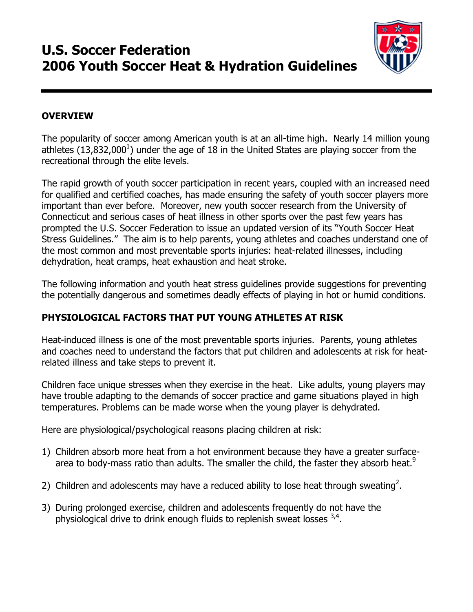# U.S. Soccer Federation 2006 Youth Soccer Heat & Hydration Guidelines



### **OVERVIEW**

The popularity of soccer among American youth is at an all-time high. Nearly 14 million young athletes  $(13,832,000<sup>1</sup>)$  under the age of 18 in the United States are playing soccer from the recreational through the elite levels.

The rapid growth of youth soccer participation in recent years, coupled with an increased need for qualified and certified coaches, has made ensuring the safety of youth soccer players more important than ever before. Moreover, new youth soccer research from the University of Connecticut and serious cases of heat illness in other sports over the past few years has prompted the U.S. Soccer Federation to issue an updated version of its "Youth Soccer Heat Stress Guidelines." The aim is to help parents, young athletes and coaches understand one of the most common and most preventable sports injuries: heat-related illnesses, including dehydration, heat cramps, heat exhaustion and heat stroke.

The following information and youth heat stress guidelines provide suggestions for preventing the potentially dangerous and sometimes deadly effects of playing in hot or humid conditions.

### PHYSIOLOGICAL FACTORS THAT PUT YOUNG ATHLETES AT RISK

Heat-induced illness is one of the most preventable sports injuries. Parents, young athletes and coaches need to understand the factors that put children and adolescents at risk for heatrelated illness and take steps to prevent it.

Children face unique stresses when they exercise in the heat. Like adults, young players may have trouble adapting to the demands of soccer practice and game situations played in high temperatures. Problems can be made worse when the young player is dehydrated.

Here are physiological/psychological reasons placing children at risk:

- 1) Children absorb more heat from a hot environment because they have a greater surfacearea to body-mass ratio than adults. The smaller the child, the faster they absorb heat.<sup>9</sup>
- 2) Children and adolescents may have a reduced ability to lose heat through sweating<sup>2</sup>.
- 3) During prolonged exercise, children and adolescents frequently do not have the physiological drive to drink enough fluids to replenish sweat losses  $3,4$ .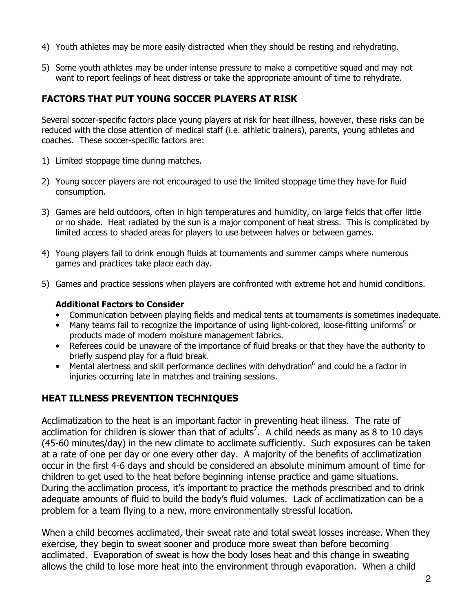- 4) Youth athletes may be more easily distracted when they should be resting and rehydrating.
- 5) Some youth athletes may be under intense pressure to make a competitive squad and may not want to report feelings of heat distress or take the appropriate amount of time to rehydrate.

### FACTORS THAT PUT YOUNG SOCCER PLAYERS AT RISK

Several soccer-specific factors place young players at risk for heat illness, however, these risks can be reduced with the close attention of medical staff (i.e. athletic trainers), parents, young athletes and coaches. These soccer-specific factors are:

- 1) Limited stoppage time during matches.
- 2) Young soccer players are not encouraged to use the limited stoppage time they have for fluid consumption.
- 3) Games are held outdoors, often in high temperatures and humidity, on large fields that offer little or no shade. Heat radiated by the sun is a major component of heat stress. This is complicated by limited access to shaded areas for players to use between halves or between games.
- 4) Young players fail to drink enough fluids at tournaments and summer camps where numerous games and practices take place each day.
- 5) Games and practice sessions when players are confronted with extreme hot and humid conditions.

#### Additional Factors to Consider

- Communication between playing fields and medical tents at tournaments is sometimes inadequate.
- Many teams fail to recognize the importance of using light-colored, loose-fitting uniforms<sup>5</sup> or products made of modern moisture management fabrics.
- Referees could be unaware of the importance of fluid breaks or that they have the authority to briefly suspend play for a fluid break.
- Mental alertness and skill performance declines with dehydration $<sup>6</sup>$  and could be a factor in</sup> injuries occurring late in matches and training sessions.

### HEAT ILLNESS PREVENTION TECHNIQUES

Acclimatization to the heat is an important factor in preventing heat illness. The rate of acclimation for children is slower than that of adults<sup>7</sup>. A child needs as many as 8 to 10 days (45-60 minutes/day) in the new climate to acclimate sufficiently. Such exposures can be taken at a rate of one per day or one every other day. A majority of the benefits of acclimatization occur in the first 4-6 days and should be considered an absolute minimum amount of time for children to get used to the heat before beginning intense practice and game situations. During the acclimation process, it's important to practice the methods prescribed and to drink adequate amounts of fluid to build the body's fluid volumes. Lack of acclimatization can be a problem for a team flying to a new, more environmentally stressful location.

When a child becomes acclimated, their sweat rate and total sweat losses increase. When they exercise, they begin to sweat sooner and produce more sweat than before becoming acclimated. Evaporation of sweat is how the body loses heat and this change in sweating allows the child to lose more heat into the environment through evaporation. When a child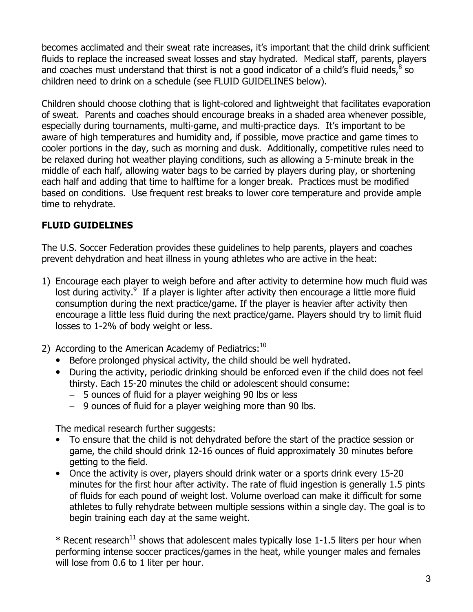becomes acclimated and their sweat rate increases, it's important that the child drink sufficient fluids to replace the increased sweat losses and stay hydrated. Medical staff, parents, players and coaches must understand that thirst is not a good indicator of a child's fluid needs,  $8$  so children need to drink on a schedule (see FLUID GUIDELINES below).

Children should choose clothing that is light-colored and lightweight that facilitates evaporation of sweat. Parents and coaches should encourage breaks in a shaded area whenever possible, especially during tournaments, multi-game, and multi-practice days. It's important to be aware of high temperatures and humidity and, if possible, move practice and game times to cooler portions in the day, such as morning and dusk. Additionally, competitive rules need to be relaxed during hot weather playing conditions, such as allowing a 5-minute break in the middle of each half, allowing water bags to be carried by players during play, or shortening each half and adding that time to halftime for a longer break. Practices must be modified based on conditions. Use frequent rest breaks to lower core temperature and provide ample time to rehydrate.

# FLUID GUIDELINES

The U.S. Soccer Federation provides these guidelines to help parents, players and coaches prevent dehydration and heat illness in young athletes who are active in the heat:

- 1) Encourage each player to weigh before and after activity to determine how much fluid was lost during activity. $9$  If a player is lighter after activity then encourage a little more fluid consumption during the next practice/game. If the player is heavier after activity then encourage a little less fluid during the next practice/game. Players should try to limit fluid losses to 1-2% of body weight or less.
- 2) According to the American Academy of Pediatrics: $10$ 
	- Before prolonged physical activity, the child should be well hydrated.
	- During the activity, periodic drinking should be enforced even if the child does not feel thirsty. Each 15-20 minutes the child or adolescent should consume:
		- − 5 ounces of fluid for a player weighing 90 lbs or less
		- − 9 ounces of fluid for a player weighing more than 90 lbs.

The medical research further suggests:

- To ensure that the child is not dehydrated before the start of the practice session or game, the child should drink 12-16 ounces of fluid approximately 30 minutes before getting to the field.
- Once the activity is over, players should drink water or a sports drink every 15-20 minutes for the first hour after activity. The rate of fluid ingestion is generally 1.5 pints of fluids for each pound of weight lost. Volume overload can make it difficult for some athletes to fully rehydrate between multiple sessions within a single day. The goal is to begin training each day at the same weight.

 $*$  Recent research<sup>11</sup> shows that adolescent males typically lose 1-1.5 liters per hour when performing intense soccer practices/games in the heat, while younger males and females will lose from 0.6 to 1 liter per hour.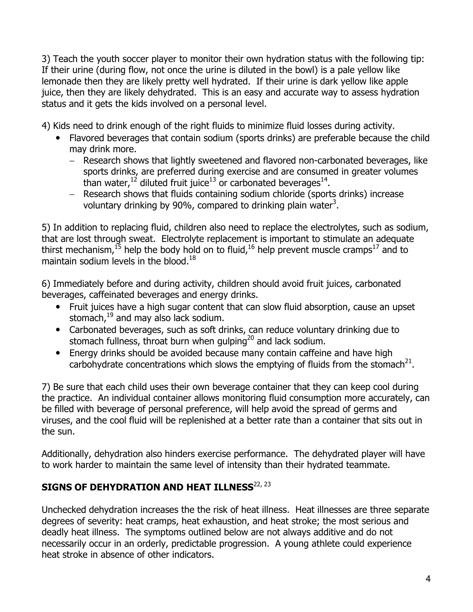3) Teach the youth soccer player to monitor their own hydration status with the following tip: If their urine (during flow, not once the urine is diluted in the bowl) is a pale yellow like lemonade then they are likely pretty well hydrated. If their urine is dark yellow like apple juice, then they are likely dehydrated. This is an easy and accurate way to assess hydration status and it gets the kids involved on a personal level.

4) Kids need to drink enough of the right fluids to minimize fluid losses during activity.

- Flavored beverages that contain sodium (sports drinks) are preferable because the child may drink more.
	- − Research shows that lightly sweetened and flavored non-carbonated beverages, like sports drinks, are preferred during exercise and are consumed in greater volumes than water, <sup>12</sup> diluted fruit juice<sup>13</sup> or carbonated beverages<sup>14</sup>.
	- − Research shows that fluids containing sodium chloride (sports drinks) increase voluntary drinking by 90%, compared to drinking plain water<sup>3</sup>.

5) In addition to replacing fluid, children also need to replace the electrolytes, such as sodium, that are lost through sweat. Electrolyte replacement is important to stimulate an adequate thirst mechanism,<sup>15</sup> help the body hold on to fluid,<sup>16</sup> help prevent muscle cramps<sup>17</sup> and to maintain sodium levels in the blood.<sup>18</sup>

6) Immediately before and during activity, children should avoid fruit juices, carbonated beverages, caffeinated beverages and energy drinks.

- Fruit juices have a high sugar content that can slow fluid absorption, cause an upset stomach, $^{19}$  and may also lack sodium.
- Carbonated beverages, such as soft drinks, can reduce voluntary drinking due to stomach fullness, throat burn when qulping<sup>20</sup> and lack sodium.
- Energy drinks should be avoided because many contain caffeine and have high carbohydrate concentrations which slows the emptying of fluids from the stomach<sup>21</sup>.

7) Be sure that each child uses their own beverage container that they can keep cool during the practice. An individual container allows monitoring fluid consumption more accurately, can be filled with beverage of personal preference, will help avoid the spread of germs and viruses, and the cool fluid will be replenished at a better rate than a container that sits out in the sun.

Additionally, dehydration also hinders exercise performance. The dehydrated player will have to work harder to maintain the same level of intensity than their hydrated teammate.

# SIGNS OF DEHYDRATION AND HEAT ILLNESS $^{22, 23}$

Unchecked dehydration increases the the risk of heat illness. Heat illnesses are three separate degrees of severity: heat cramps, heat exhaustion, and heat stroke; the most serious and deadly heat illness. The symptoms outlined below are not always additive and do not necessarily occur in an orderly, predictable progression. A young athlete could experience heat stroke in absence of other indicators.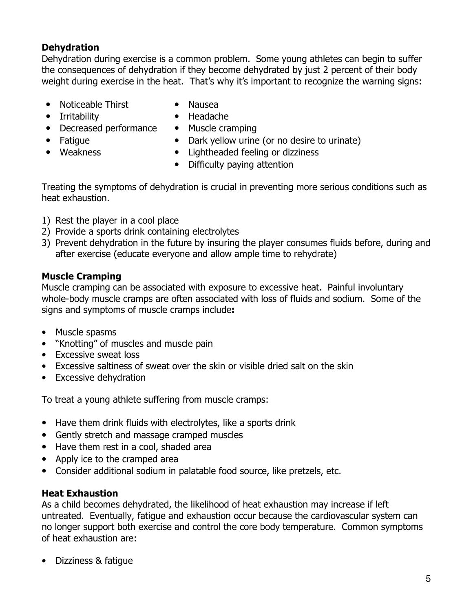## **Dehydration**

Dehydration during exercise is a common problem. Some young athletes can begin to suffer the consequences of dehydration if they become dehydrated by just 2 percent of their body weight during exercise in the heat. That's why it's important to recognize the warning signs:

- Noticeable Thirst
- Irritability

• Weakness

- Decreased performance
- Fatigue

• Muscle cramping

• Nausea • Headache

- 
- Dark yellow urine (or no desire to urinate) • Lightheaded feeling or dizziness
- Difficulty paying attention

Treating the symptoms of dehydration is crucial in preventing more serious conditions such as heat exhaustion.

- 1) Rest the player in a cool place
- 2) Provide a sports drink containing electrolytes
- 3) Prevent dehydration in the future by insuring the player consumes fluids before, during and after exercise (educate everyone and allow ample time to rehydrate)

### Muscle Cramping

Muscle cramping can be associated with exposure to excessive heat. Painful involuntary whole-body muscle cramps are often associated with loss of fluids and sodium. Some of the signs and symptoms of muscle cramps include:

- Muscle spasms
- "Knotting" of muscles and muscle pain
- Excessive sweat loss
- Excessive saltiness of sweat over the skin or visible dried salt on the skin
- Excessive dehydration

To treat a young athlete suffering from muscle cramps:

- Have them drink fluids with electrolytes, like a sports drink
- Gently stretch and massage cramped muscles
- Have them rest in a cool, shaded area
- Apply ice to the cramped area
- Consider additional sodium in palatable food source, like pretzels, etc.

#### Heat Exhaustion

As a child becomes dehydrated, the likelihood of heat exhaustion may increase if left untreated. Eventually, fatigue and exhaustion occur because the cardiovascular system can no longer support both exercise and control the core body temperature. Common symptoms of heat exhaustion are:

• Dizziness & fatigue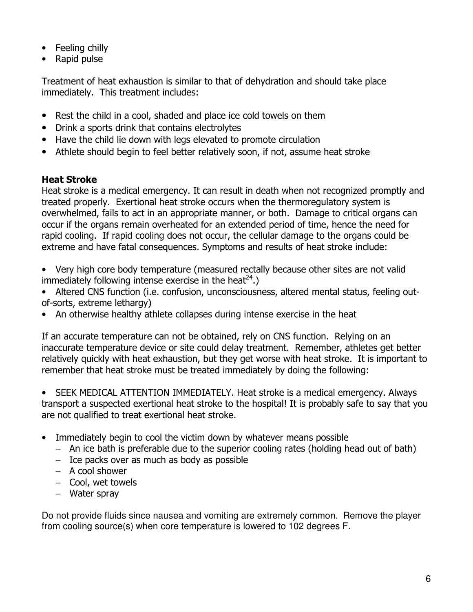- Feeling chilly
- Rapid pulse

Treatment of heat exhaustion is similar to that of dehydration and should take place immediately. This treatment includes:

- Rest the child in a cool, shaded and place ice cold towels on them
- Drink a sports drink that contains electrolytes
- Have the child lie down with legs elevated to promote circulation
- Athlete should begin to feel better relatively soon, if not, assume heat stroke

#### Heat Stroke

Heat stroke is a medical emergency. It can result in death when not recognized promptly and treated properly. Exertional heat stroke occurs when the thermoregulatory system is overwhelmed, fails to act in an appropriate manner, or both. Damage to critical organs can occur if the organs remain overheated for an extended period of time, hence the need for rapid cooling. If rapid cooling does not occur, the cellular damage to the organs could be extreme and have fatal consequences. Symptoms and results of heat stroke include:

- Very high core body temperature (measured rectally because other sites are not valid immediately following intense exercise in the heat<sup>24</sup>.)
- Altered CNS function (i.e. confusion, unconsciousness, altered mental status, feeling outof-sorts, extreme lethargy)
- An otherwise healthy athlete collapses during intense exercise in the heat

If an accurate temperature can not be obtained, rely on CNS function. Relying on an inaccurate temperature device or site could delay treatment. Remember, athletes get better relatively quickly with heat exhaustion, but they get worse with heat stroke. It is important to remember that heat stroke must be treated immediately by doing the following:

• SEEK MEDICAL ATTENTION IMMEDIATELY. Heat stroke is a medical emergency. Always transport a suspected exertional heat stroke to the hospital! It is probably safe to say that you are not qualified to treat exertional heat stroke.

- Immediately begin to cool the victim down by whatever means possible
	- − An ice bath is preferable due to the superior cooling rates (holding head out of bath)
	- − Ice packs over as much as body as possible
	- − A cool shower
	- − Cool, wet towels
	- − Water spray

Do not provide fluids since nausea and vomiting are extremely common. Remove the player from cooling source(s) when core temperature is lowered to 102 degrees F.